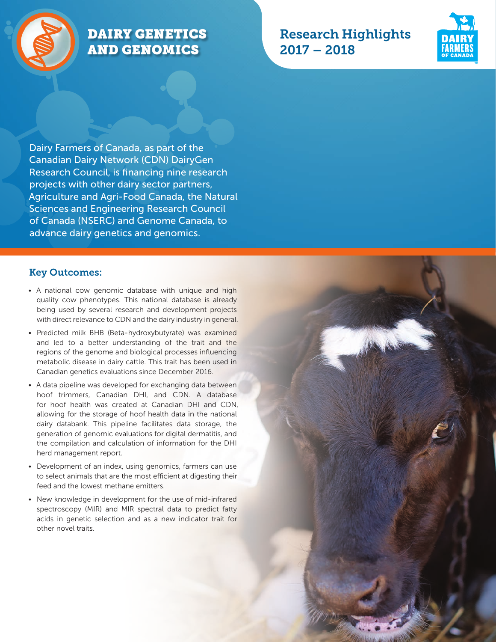

## DAIRY GENETICS AND GENOMICS

# Research Highlights 2017 – 2018



Dairy Farmers of Canada, as part of the Canadian Dairy Network (CDN) DairyGen Research Council, is financing nine research projects with other dairy sector partners, Agriculture and Agri-Food Canada, the Natural Sciences and Engineering Research Council of Canada (NSERC) and Genome Canada, to advance dairy genetics and genomics.

#### Key Outcomes:

- A national cow genomic database with unique and high quality cow phenotypes. This national database is already being used by several research and development projects with direct relevance to CDN and the dairy industry in general.
- Predicted milk BHB (Beta-hydroxybutyrate) was examined and led to a better understanding of the trait and the regions of the genome and biological processes influencing metabolic disease in dairy cattle. This trait has been used in Canadian genetics evaluations since December 2016.
- A data pipeline was developed for exchanging data between hoof trimmers, Canadian DHI, and CDN. A database for hoof health was created at Canadian DHI and CDN, allowing for the storage of hoof health data in the national dairy databank. This pipeline facilitates data storage, the generation of genomic evaluations for digital dermatitis, and the compilation and calculation of information for the DHI herd management report.
- Development of an index, using genomics, farmers can use to select animals that are the most efficient at digesting their feed and the lowest methane emitters.
- New knowledge in development for the use of mid-infrared spectroscopy (MIR) and MIR spectral data to predict fatty acids in genetic selection and as a new indicator trait for other novel traits.